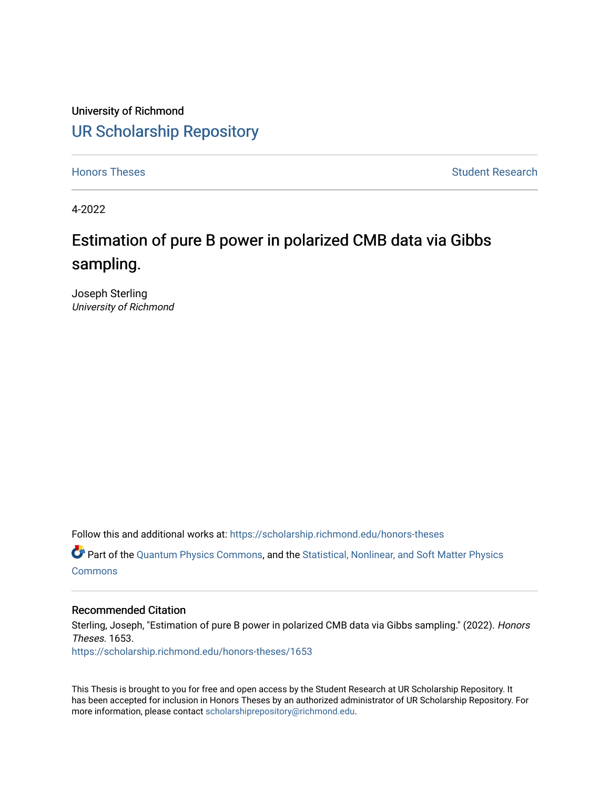University of Richmond [UR Scholarship Repository](https://scholarship.richmond.edu/) 

[Honors Theses](https://scholarship.richmond.edu/honors-theses) **Student Research** Student Research

4-2022

# Estimation of pure B power in polarized CMB data via Gibbs sampling.

Joseph Sterling University of Richmond

Follow this and additional works at: [https://scholarship.richmond.edu/honors-theses](https://scholarship.richmond.edu/honors-theses?utm_source=scholarship.richmond.edu%2Fhonors-theses%2F1653&utm_medium=PDF&utm_campaign=PDFCoverPages)

Part of the [Quantum Physics Commons,](https://network.bepress.com/hgg/discipline/206?utm_source=scholarship.richmond.edu%2Fhonors-theses%2F1653&utm_medium=PDF&utm_campaign=PDFCoverPages) and the [Statistical, Nonlinear, and Soft Matter Physics](https://network.bepress.com/hgg/discipline/1266?utm_source=scholarship.richmond.edu%2Fhonors-theses%2F1653&utm_medium=PDF&utm_campaign=PDFCoverPages) **[Commons](https://network.bepress.com/hgg/discipline/1266?utm_source=scholarship.richmond.edu%2Fhonors-theses%2F1653&utm_medium=PDF&utm_campaign=PDFCoverPages)** 

# Recommended Citation

Sterling, Joseph, "Estimation of pure B power in polarized CMB data via Gibbs sampling." (2022). Honors Theses. 1653. [https://scholarship.richmond.edu/honors-theses/1653](https://scholarship.richmond.edu/honors-theses/1653?utm_source=scholarship.richmond.edu%2Fhonors-theses%2F1653&utm_medium=PDF&utm_campaign=PDFCoverPages) 

This Thesis is brought to you for free and open access by the Student Research at UR Scholarship Repository. It has been accepted for inclusion in Honors Theses by an authorized administrator of UR Scholarship Repository. For more information, please contact [scholarshiprepository@richmond.edu](mailto:scholarshiprepository@richmond.edu).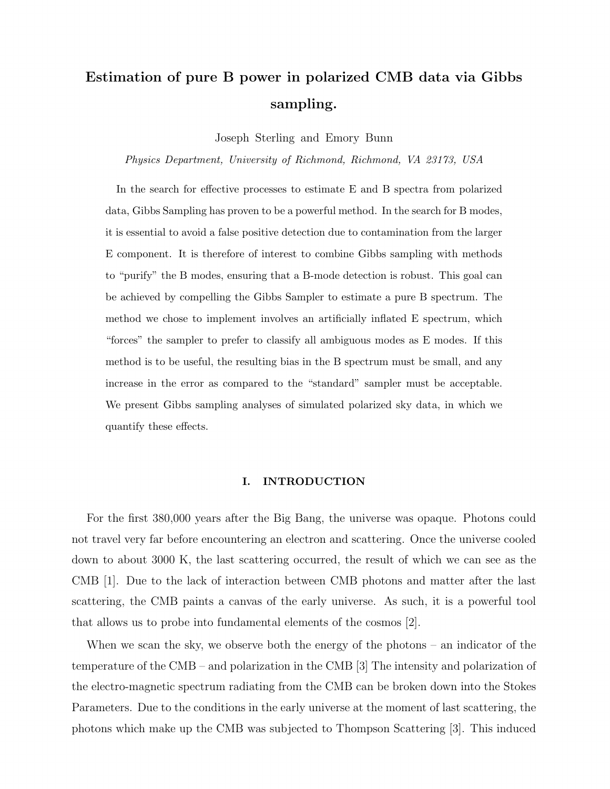# Estimation of pure B power in polarized CMB data via Gibbs sampling.

Joseph Sterling and Emory Bunn

Physics Department, University of Richmond, Richmond, VA 23173, USA

In the search for effective processes to estimate E and B spectra from polarized data, Gibbs Sampling has proven to be a powerful method. In the search for B modes, it is essential to avoid a false positive detection due to contamination from the larger E component. It is therefore of interest to combine Gibbs sampling with methods to "purify" the B modes, ensuring that a B-mode detection is robust. This goal can be achieved by compelling the Gibbs Sampler to estimate a pure B spectrum. The method we chose to implement involves an artificially inflated E spectrum, which "forces" the sampler to prefer to classify all ambiguous modes as E modes. If this method is to be useful, the resulting bias in the B spectrum must be small, and any increase in the error as compared to the "standard" sampler must be acceptable. We present Gibbs sampling analyses of simulated polarized sky data, in which we quantify these effects.

# I. INTRODUCTION

For the first 380,000 years after the Big Bang, the universe was opaque. Photons could not travel very far before encountering an electron and scattering. Once the universe cooled down to about 3000 K, the last scattering occurred, the result of which we can see as the CMB [1]. Due to the lack of interaction between CMB photons and matter after the last scattering, the CMB paints a canvas of the early universe. As such, it is a powerful tool that allows us to probe into fundamental elements of the cosmos [2].

When we scan the sky, we observe both the energy of the photons – an indicator of the temperature of the CMB – and polarization in the CMB [3] The intensity and polarization of the electro-magnetic spectrum radiating from the CMB can be broken down into the Stokes Parameters. Due to the conditions in the early universe at the moment of last scattering, the photons which make up the CMB was subjected to Thompson Scattering [3]. This induced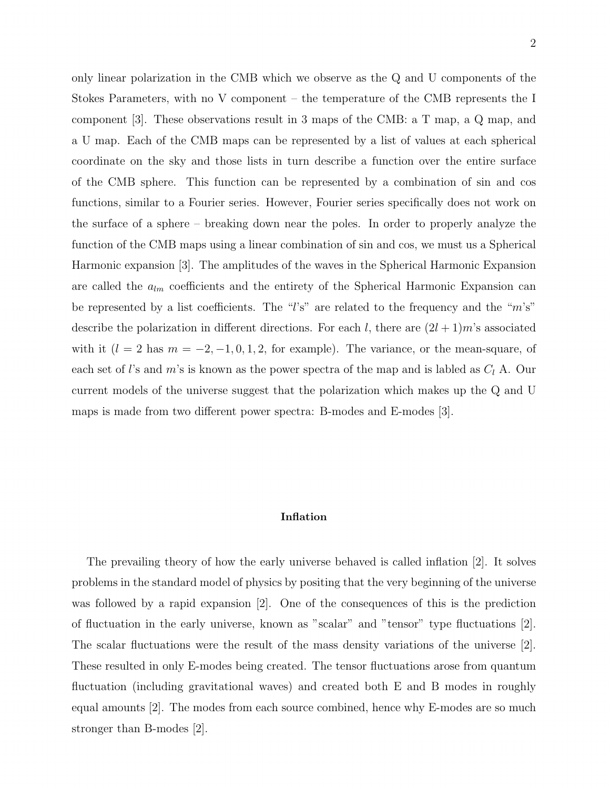only linear polarization in the CMB which we observe as the Q and U components of the Stokes Parameters, with no V component – the temperature of the CMB represents the I component [3]. These observations result in 3 maps of the CMB: a T map, a Q map, and a U map. Each of the CMB maps can be represented by a list of values at each spherical coordinate on the sky and those lists in turn describe a function over the entire surface of the CMB sphere. This function can be represented by a combination of sin and cos functions, similar to a Fourier series. However, Fourier series specifically does not work on the surface of a sphere – breaking down near the poles. In order to properly analyze the function of the CMB maps using a linear combination of sin and cos, we must us a Spherical Harmonic expansion [3]. The amplitudes of the waves in the Spherical Harmonic Expansion are called the  $a_{lm}$  coefficients and the entirety of the Spherical Harmonic Expansion can be represented by a list coefficients. The "l's" are related to the frequency and the " $m$ 's" describe the polarization in different directions. For each l, there are  $(2l + 1)m$ 's associated with it  $(l = 2$  has  $m = -2, -1, 0, 1, 2$ , for example). The variance, or the mean-square, of each set of l's and m's is known as the power spectra of the map and is labled as  $C_l$  A. Our current models of the universe suggest that the polarization which makes up the Q and U maps is made from two different power spectra: B-modes and E-modes [3].

## Inflation

The prevailing theory of how the early universe behaved is called inflation [2]. It solves problems in the standard model of physics by positing that the very beginning of the universe was followed by a rapid expansion [2]. One of the consequences of this is the prediction of fluctuation in the early universe, known as "scalar" and "tensor" type fluctuations [2]. The scalar fluctuations were the result of the mass density variations of the universe [2]. These resulted in only E-modes being created. The tensor fluctuations arose from quantum fluctuation (including gravitational waves) and created both E and B modes in roughly equal amounts [2]. The modes from each source combined, hence why E-modes are so much stronger than B-modes [2].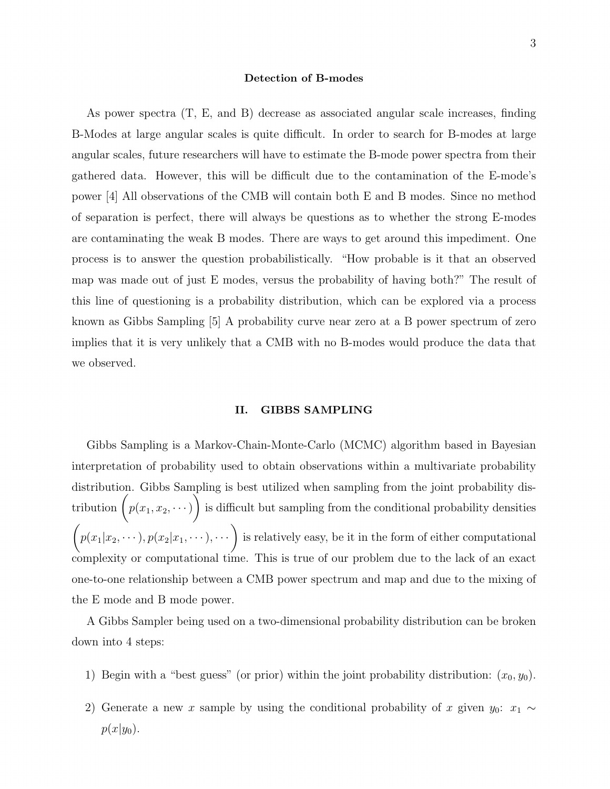#### Detection of B-modes

As power spectra (T, E, and B) decrease as associated angular scale increases, finding B-Modes at large angular scales is quite difficult. In order to search for B-modes at large angular scales, future researchers will have to estimate the B-mode power spectra from their gathered data. However, this will be difficult due to the contamination of the E-mode's power [4] All observations of the CMB will contain both E and B modes. Since no method of separation is perfect, there will always be questions as to whether the strong E-modes are contaminating the weak B modes. There are ways to get around this impediment. One process is to answer the question probabilistically. "How probable is it that an observed map was made out of just E modes, versus the probability of having both?" The result of this line of questioning is a probability distribution, which can be explored via a process known as Gibbs Sampling [5] A probability curve near zero at a B power spectrum of zero implies that it is very unlikely that a CMB with no B-modes would produce the data that we observed.

# II. GIBBS SAMPLING

Gibbs Sampling is a Markov-Chain-Monte-Carlo (MCMC) algorithm based in Bayesian interpretation of probability used to obtain observations within a multivariate probability distribution. Gibbs Sampling is best utilized when sampling from the joint probability distribution  $\int p(x_1, x_2, \dots)$  $\setminus$ is difficult but sampling from the conditional probability densities  $\left(p(x_1|x_2,\dots), p(x_2|x_1,\dots),\dots\right)$  is relatively easy, be it in the form of either computational complexity or computational time. This is true of our problem due to the lack of an exact one-to-one relationship between a CMB power spectrum and map and due to the mixing of the E mode and B mode power.

A Gibbs Sampler being used on a two-dimensional probability distribution can be broken down into 4 steps:

- 1) Begin with a "best guess" (or prior) within the joint probability distribution:  $(x_0, y_0)$ .
- 2) Generate a new x sample by using the conditional probability of x given  $y_0$ :  $x_1 \sim$  $p(x|y_0)$ .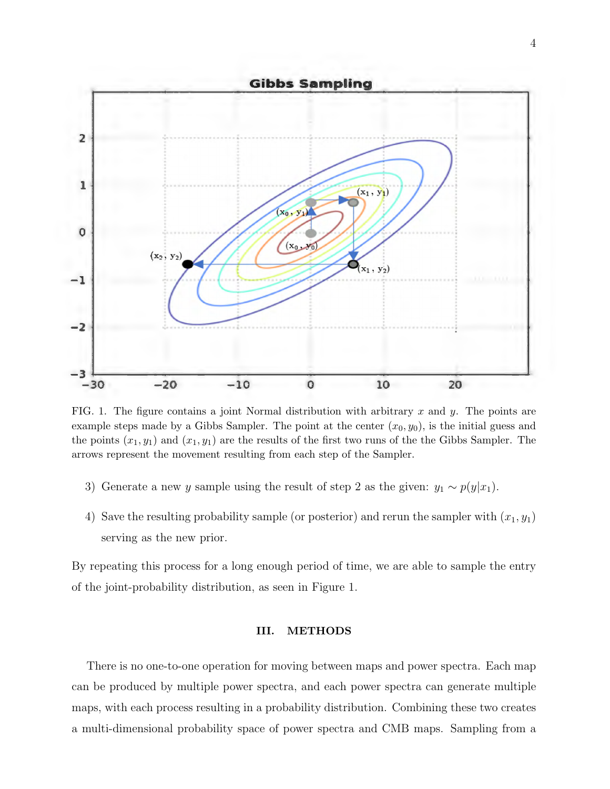

FIG. 1. The figure contains a joint Normal distribution with arbitrary  $x$  and  $y$ . The points are example steps made by a Gibbs Sampler. The point at the center  $(x_0, y_0)$ , is the initial guess and the points  $(x_1, y_1)$  and  $(x_1, y_1)$  are the results of the first two runs of the the Gibbs Sampler. The arrows represent the movement resulting from each step of the Sampler.

- 3) Generate a new y sample using the result of step 2 as the given:  $y_1 \sim p(y|x_1)$ .
- 4) Save the resulting probability sample (or posterior) and rerun the sampler with  $(x_1, y_1)$ serving as the new prior.

By repeating this process for a long enough period of time, we are able to sample the entry of the joint-probability distribution, as seen in Figure 1.

# III. METHODS

There is no one-to-one operation for moving between maps and power spectra. Each map can be produced by multiple power spectra, and each power spectra can generate multiple maps, with each process resulting in a probability distribution. Combining these two creates a multi-dimensional probability space of power spectra and CMB maps. Sampling from a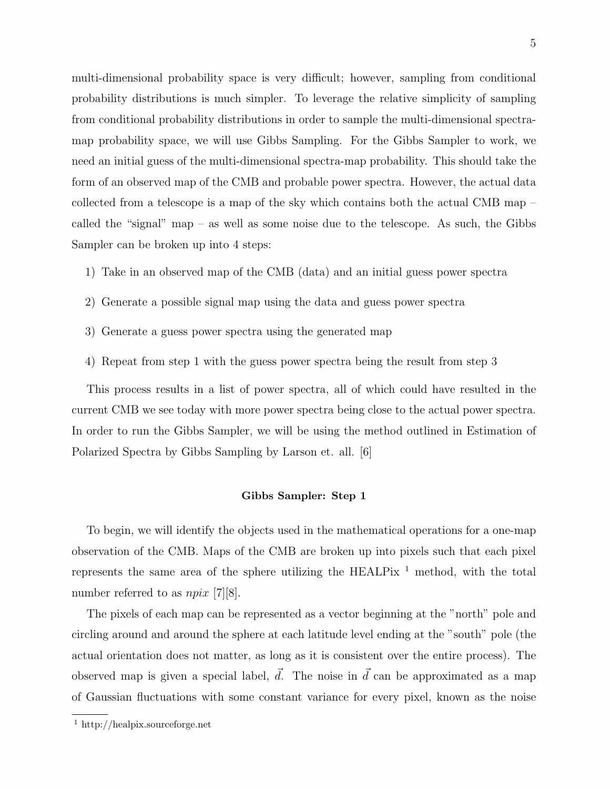multi-dimensional probability space is very difficult; however, sampling from conditional probability distributions is much simpler. To leverage the relative simplicity of sampling from conditional probability distributions in order to sample the multi-dimensional spectramap probability space, we will use Gibbs Sampling. For the Gibbs Sampler to work, we need an initial guess of the multi-dimensional spectra-map probability. This should take the form of an observed map of the CMB and probable power spectra. However, the actual data collected from a telescope is a map of the sky which contains both the actual CMB map – called the "signal" map – as well as some noise due to the telescope. As such, the Gibbs Sampler can be broken up into 4 steps:

- 1) Take in an observed map of the CMB (data) and an initial guess power spectra
- 2) Generate a possible signal map using the data and guess power spectra
- 3) Generate a guess power spectra using the generated map
- 4) Repeat from step 1 with the guess power spectra being the result from step 3

This process results in a list of power spectra, all of which could have resulted in the current CMB we see today with more power spectra being close to the actual power spectra. In order to run the Gibbs Sampler, we will be using the method outlined in Estimation of Polarized Spectra by Gibbs Sampling by Larson et. all. [6]

# Gibbs Sampler: Step 1

To begin, we will identify the objects used in the mathematical operations for a one-map observation of the CMB. Maps of the CMB are broken up into pixels such that each pixel represents the same area of the sphere utilizing the HEALPix  $<sup>1</sup>$  method, with the total</sup> number referred to as  $npix$  [7][8].

The pixels of each map can be represented as a vector beginning at the "north" pole and circling around and around the sphere at each latitude level ending at the "south" pole (the actual orientation does not matter, as long as it is consistent over the entire process). The observed map is given a special label,  $\vec{d}$ . The noise in  $\vec{d}$  can be approximated as a map of Gaussian fluctuations with some constant variance for every pixel, known as the noise

<sup>1</sup> http://healpix.sourceforge.net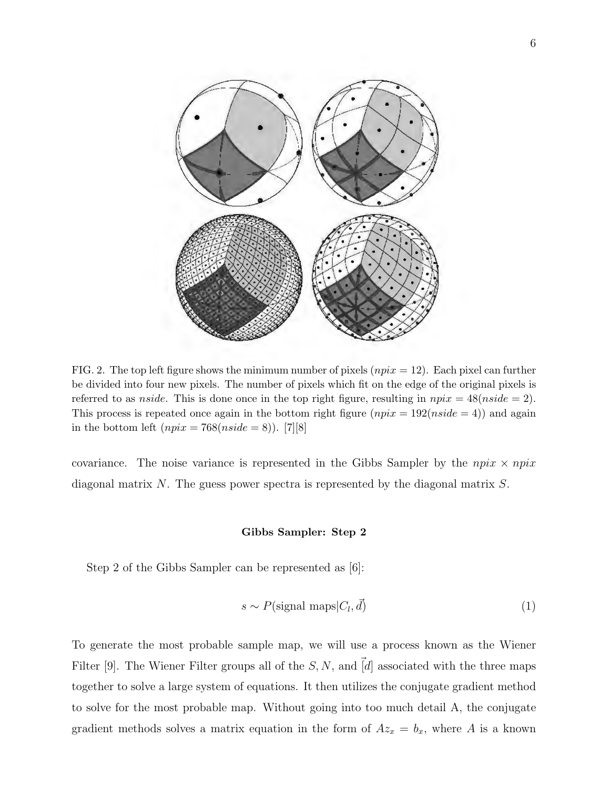

FIG. 2. The top left figure shows the minimum number of pixels  $(npix = 12)$ . Each pixel can further be divided into four new pixels. The number of pixels which fit on the edge of the original pixels is referred to as *nside*. This is done once in the top right figure, resulting in  $npix = 48(nside = 2)$ . This process is repeated once again in the bottom right figure  $(npix = 192(nside = 4))$  and again in the bottom left  $(npix = 768(nside = 8))$ . [7][8]

covariance. The noise variance is represented in the Gibbs Sampler by the  $npix \times npix$ diagonal matrix N. The guess power spectra is represented by the diagonal matrix S.

## Gibbs Sampler: Step 2

Step 2 of the Gibbs Sampler can be represented as  $|6|$ :

$$
s \sim P(\text{signal maps}|C_l, \vec{d}) \tag{1}
$$

To generate the most probable sample map, we will use a process known as the Wiener Filter [9]. The Wiener Filter groups all of the S, N, and  $\vec{d}$  associated with the three maps together to solve a large system of equations. It then utilizes the conjugate gradient method to solve for the most probable map. Without going into too much detail A, the conjugate gradient methods solves a matrix equation in the form of  $Az_x = b_x$ , where A is a known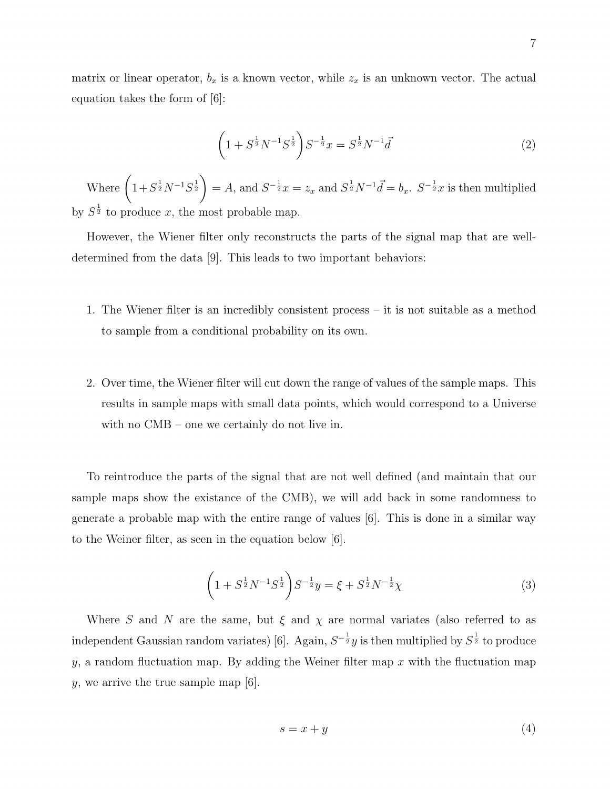matrix or linear operator,  $b_x$  is a known vector, while  $z_x$  is an unknown vector. The actual equation takes the form of [6]:

$$
\left(1 + S^{\frac{1}{2}}N^{-1}S^{\frac{1}{2}}\right)S^{-\frac{1}{2}}x = S^{\frac{1}{2}}N^{-1}\vec{d}
$$
\n<sup>(2)</sup>

Where  $(1 + S^{\frac{1}{2}}N^{-1}S^{\frac{1}{2}})$  $= A$ , and  $S^{-\frac{1}{2}}x = z_x$  and  $S^{\frac{1}{2}}N^{-1}\vec{d} = b_x$ .  $S^{-\frac{1}{2}}x$  is then multiplied by  $S^{\frac{1}{2}}$  to produce x, the most probable map.

However, the Wiener filter only reconstructs the parts of the signal map that are welldetermined from the data [9]. This leads to two important behaviors:

- 1. The Wiener filter is an incredibly consistent process it is not suitable as a method to sample from a conditional probability on its own.
- 2. Over time, the Wiener filter will cut down the range of values of the sample maps. This results in sample maps with small data points, which would correspond to a Universe with no CMB – one we certainly do not live in.

To reintroduce the parts of the signal that are not well defined (and maintain that our sample maps show the existance of the CMB), we will add back in some randomness to generate a probable map with the entire range of values [6]. This is done in a similar way to the Weiner filter, as seen in the equation below [6].

$$
\left(1 + S^{\frac{1}{2}}N^{-1}S^{\frac{1}{2}}\right)S^{-\frac{1}{2}}y = \xi + S^{\frac{1}{2}}N^{-\frac{1}{2}}\chi\tag{3}
$$

Where S and N are the same, but  $\xi$  and  $\chi$  are normal variates (also referred to as independent Gaussian random variates) [6]. Again,  $S^{-\frac{1}{2}}y$  is then multiplied by  $S^{\frac{1}{2}}$  to produce y, a random fluctuation map. By adding the Weiner filter map  $x$  with the fluctuation map  $y$ , we arrive the true sample map  $[6]$ .

$$
s = x + y \tag{4}
$$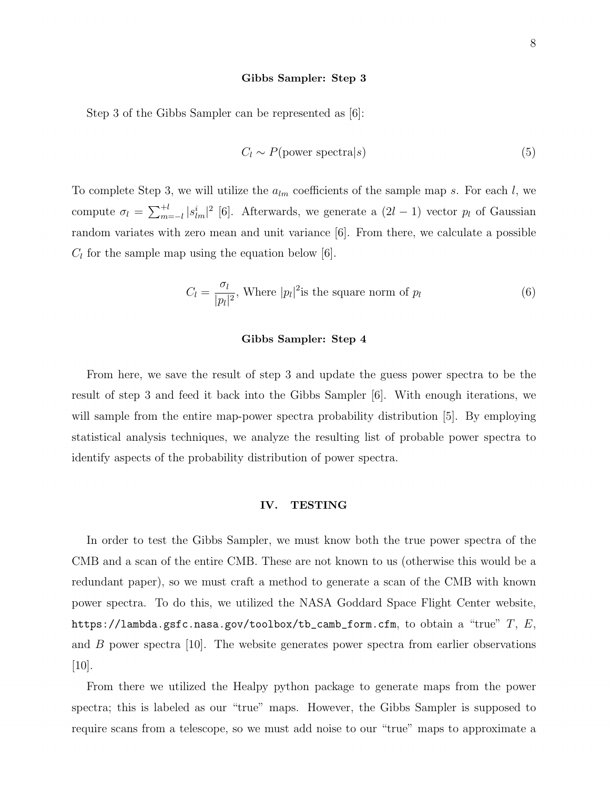#### Gibbs Sampler: Step 3

Step 3 of the Gibbs Sampler can be represented as [6]:

$$
C_l \sim P(\text{power spectra}|s) \tag{5}
$$

To complete Step 3, we will utilize the  $a_{lm}$  coefficients of the sample map s. For each  $l$ , we compute  $\sigma_l = \sum_{m=-l}^{+l} |s_{lm}^i|^2$  [6]. Afterwards, we generate a  $(2l-1)$  vector  $p_l$  of Gaussian random variates with zero mean and unit variance [6]. From there, we calculate a possible  $C_l$  for the sample map using the equation below [6].

$$
C_l = \frac{\sigma_l}{|p_l|^2}
$$
, Where  $|p_l|^2$  is the square norm of  $p_l$  (6)

# Gibbs Sampler: Step 4

From here, we save the result of step 3 and update the guess power spectra to be the result of step 3 and feed it back into the Gibbs Sampler [6]. With enough iterations, we will sample from the entire map-power spectra probability distribution [5]. By employing statistical analysis techniques, we analyze the resulting list of probable power spectra to identify aspects of the probability distribution of power spectra.

# IV. TESTING

In order to test the Gibbs Sampler, we must know both the true power spectra of the CMB and a scan of the entire CMB. These are not known to us (otherwise this would be a redundant paper), so we must craft a method to generate a scan of the CMB with known power spectra. To do this, we utilized the NASA Goddard Space Flight Center website, https://lambda.gsfc.nasa.gov/toolbox/tb\_camb\_form.cfm, to obtain a "true"  $T$ ,  $E$ , and B power spectra [10]. The website generates power spectra from earlier observations [10].

From there we utilized the Healpy python package to generate maps from the power spectra; this is labeled as our "true" maps. However, the Gibbs Sampler is supposed to require scans from a telescope, so we must add noise to our "true" maps to approximate a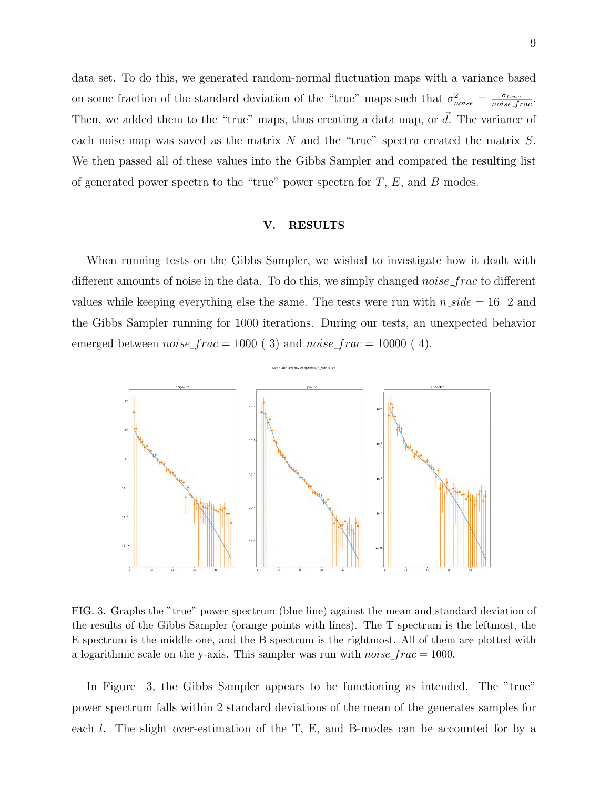data set. To do this, we generated random-normal fluctuation maps with a variance based on some fraction of the standard deviation of the "true" maps such that  $\sigma_{noise}^2 = \frac{\sigma_{true}}{noise\_frac}$ . Then, we added them to the "true" maps, thus creating a data map, or  $d$ . The variance of each noise map was saved as the matrix  $N$  and the "true" spectra created the matrix  $S$ . We then passed all of these values into the Gibbs Sampler and compared the resulting list of generated power spectra to the "true" power spectra for  $T$ ,  $E$ , and  $B$  modes.

# V. RESULTS

When running tests on the Gibbs Sampler, we wished to investigate how it dealt with different amounts of noise in the data. To do this, we simply changed  $noise\_frac$  to different values while keeping everything else the same. The tests were run with  $n\_side = 16$  2 and the Gibbs Sampler running for 1000 iterations. During our tests, an unexpected behavior emerged between  $noise\_frac = 1000$  (3) and  $noise\_frac = 10000$  (4).



FIG. 3. Graphs the "true" power spectrum (blue line) against the mean and standard deviation of the results of the Gibbs Sampler (orange points with lines). The T spectrum is the leftmost, the E spectrum is the middle one, and the B spectrum is the rightmost. All of them are plotted with a logarithmic scale on the y-axis. This sampler was run with *noise*  $frac = 1000$ .

In Figure 3, the Gibbs Sampler appears to be functioning as intended. The "true" power spectrum falls within 2 standard deviations of the mean of the generates samples for each l. The slight over-estimation of the T, E, and B-modes can be accounted for by a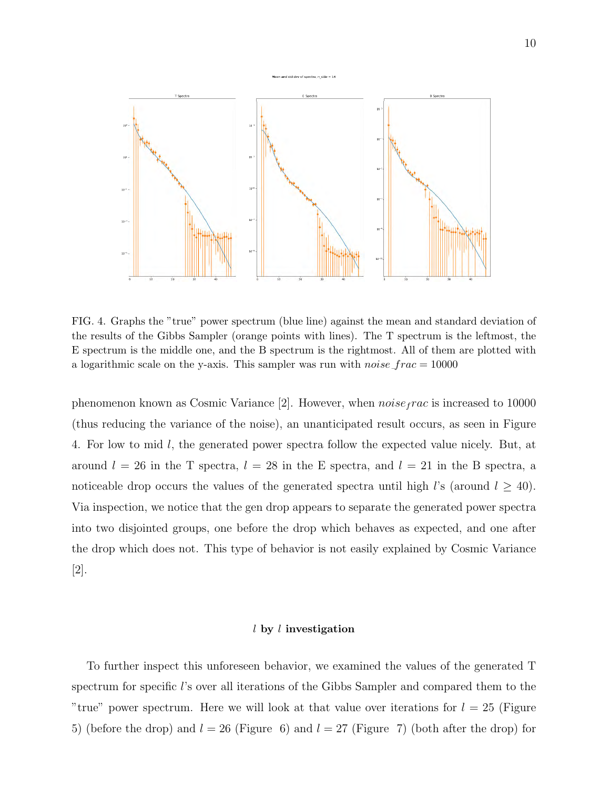

Mean and std dev of spectra, n\_side = 16

FIG. 4. Graphs the "true" power spectrum (blue line) against the mean and standard deviation of the results of the Gibbs Sampler (orange points with lines). The T spectrum is the leftmost, the E spectrum is the middle one, and the B spectrum is the rightmost. All of them are plotted with a logarithmic scale on the y-axis. This sampler was run with  $noise\_frac = 10000$ 

phenomenon known as Cosmic Variance [2]. However, when  $noise_f$ rac is increased to 10000 (thus reducing the variance of the noise), an unanticipated result occurs, as seen in Figure 4. For low to mid l, the generated power spectra follow the expected value nicely. But, at around  $l = 26$  in the T spectra,  $l = 28$  in the E spectra, and  $l = 21$  in the B spectra, a noticeable drop occurs the values of the generated spectra until high l's (around  $l \geq 40$ ). Via inspection, we notice that the gen drop appears to separate the generated power spectra into two disjointed groups, one before the drop which behaves as expected, and one after the drop which does not. This type of behavior is not easily explained by Cosmic Variance [2].

#### l by l investigation

To further inspect this unforeseen behavior, we examined the values of the generated T spectrum for specific l's over all iterations of the Gibbs Sampler and compared them to the "true" power spectrum. Here we will look at that value over iterations for  $l = 25$  (Figure 5) (before the drop) and  $l = 26$  (Figure 6) and  $l = 27$  (Figure 7) (both after the drop) for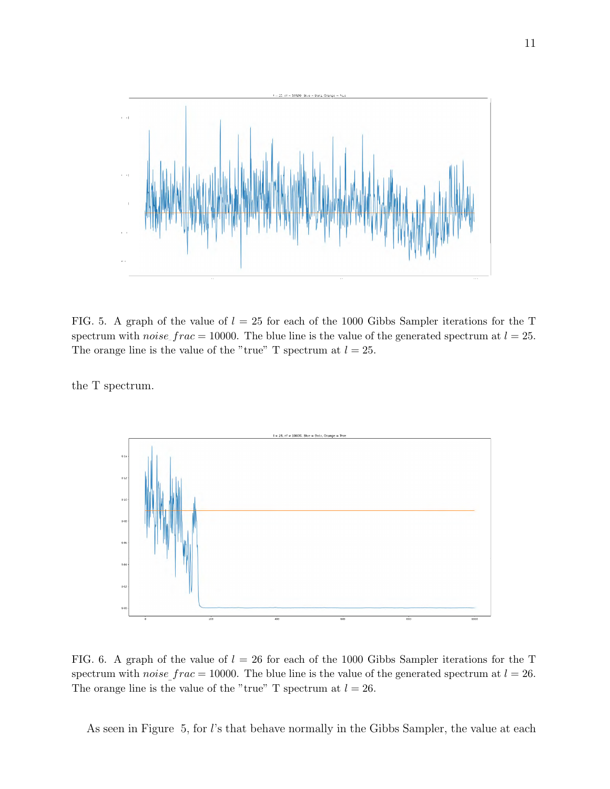

FIG. 5. A graph of the value of  $l = 25$  for each of the 1000 Gibbs Sampler iterations for the T spectrum with *noise\_frac* = 10000. The blue line is the value of the generated spectrum at  $l = 25$ . The orange line is the value of the "true" T spectrum at  $l = 25$ .

the T spectrum.



FIG. 6. A graph of the value of  $l = 26$  for each of the 1000 Gibbs Sampler iterations for the T spectrum with noise  $frac = 10000$ . The blue line is the value of the generated spectrum at  $l = 26$ . The orange line is the value of the "true" T spectrum at  $l = 26$ .

As seen in Figure 5, for l's that behave normally in the Gibbs Sampler, the value at each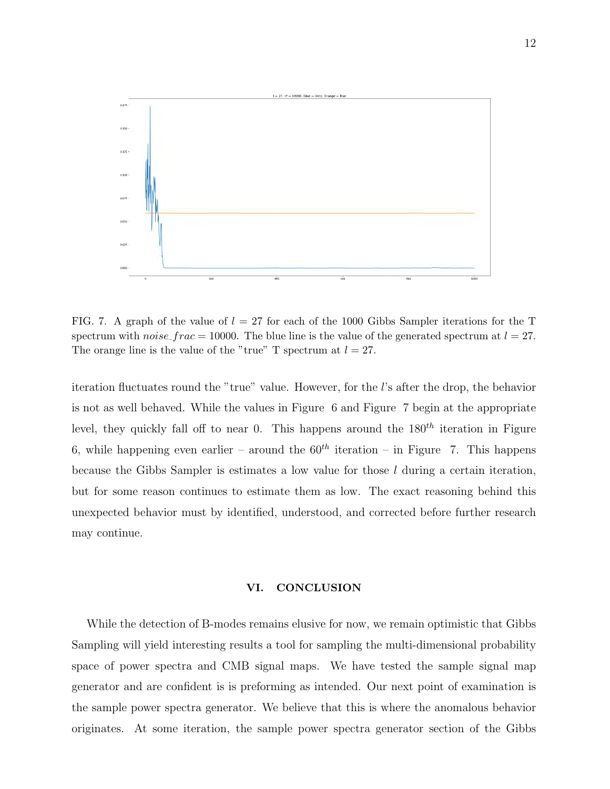

FIG. 7. A graph of the value of  $l = 27$  for each of the 1000 Gibbs Sampler iterations for the T spectrum with  $noise\_frac = 10000$ . The blue line is the value of the generated spectrum at  $l = 27$ . The orange line is the value of the "true" T spectrum at  $l = 27$ .

iteration fluctuates round the "true" value. However, for the l's after the drop, the behavior is not as well behaved. While the values in Figure 6 and Figure 7 begin at the appropriate level, they quickly fall off to near 0. This happens around the  $180<sup>th</sup>$  iteration in Figure 6, while happening even earlier – around the  $60^{th}$  iteration – in Figure 7. This happens because the Gibbs Sampler is estimates a low value for those  $l$  during a certain iteration, but for some reason continues to estimate them as low. The exact reasoning behind this unexpected behavior must by identified, understood, and corrected before further research may continue.

# VI. CONCLUSION

While the detection of B-modes remains elusive for now, we remain optimistic that Gibbs Sampling will yield interesting results a tool for sampling the multi-dimensional probability space of power spectra and CMB signal maps. We have tested the sample signal map generator and are confident is is preforming as intended. Our next point of examination is the sample power spectra generator. We believe that this is where the anomalous behavior originates. At some iteration, the sample power spectra generator section of the Gibbs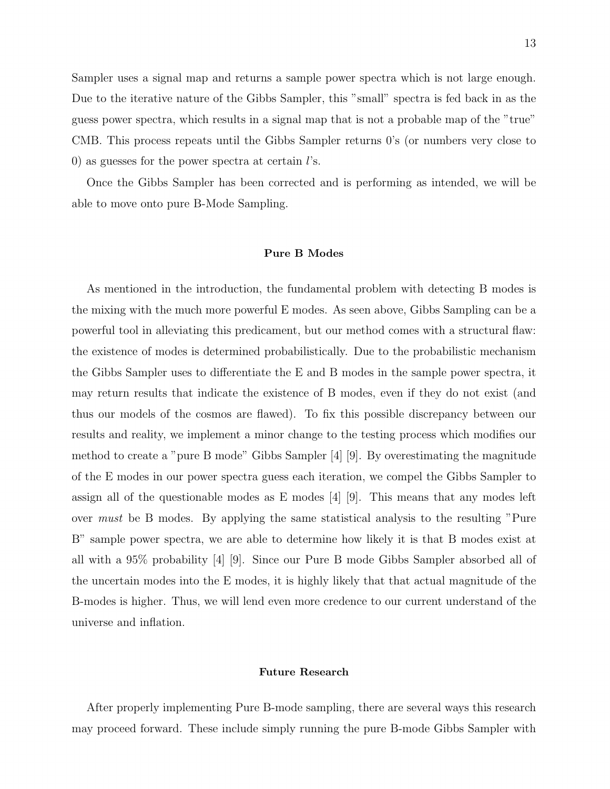Sampler uses a signal map and returns a sample power spectra which is not large enough. Due to the iterative nature of the Gibbs Sampler, this "small" spectra is fed back in as the guess power spectra, which results in a signal map that is not a probable map of the "true" CMB. This process repeats until the Gibbs Sampler returns 0's (or numbers very close to 0) as guesses for the power spectra at certain  $l$ 's.

Once the Gibbs Sampler has been corrected and is performing as intended, we will be able to move onto pure B-Mode Sampling.

## Pure B Modes

As mentioned in the introduction, the fundamental problem with detecting B modes is the mixing with the much more powerful E modes. As seen above, Gibbs Sampling can be a powerful tool in alleviating this predicament, but our method comes with a structural flaw: the existence of modes is determined probabilistically. Due to the probabilistic mechanism the Gibbs Sampler uses to differentiate the E and B modes in the sample power spectra, it may return results that indicate the existence of B modes, even if they do not exist (and thus our models of the cosmos are flawed). To fix this possible discrepancy between our results and reality, we implement a minor change to the testing process which modifies our method to create a "pure B mode" Gibbs Sampler [4] [9]. By overestimating the magnitude of the E modes in our power spectra guess each iteration, we compel the Gibbs Sampler to assign all of the questionable modes as E modes [4] [9]. This means that any modes left over must be B modes. By applying the same statistical analysis to the resulting "Pure B" sample power spectra, we are able to determine how likely it is that B modes exist at all with a 95% probability [4] [9]. Since our Pure B mode Gibbs Sampler absorbed all of the uncertain modes into the E modes, it is highly likely that that actual magnitude of the B-modes is higher. Thus, we will lend even more credence to our current understand of the universe and inflation.

## Future Research

After properly implementing Pure B-mode sampling, there are several ways this research may proceed forward. These include simply running the pure B-mode Gibbs Sampler with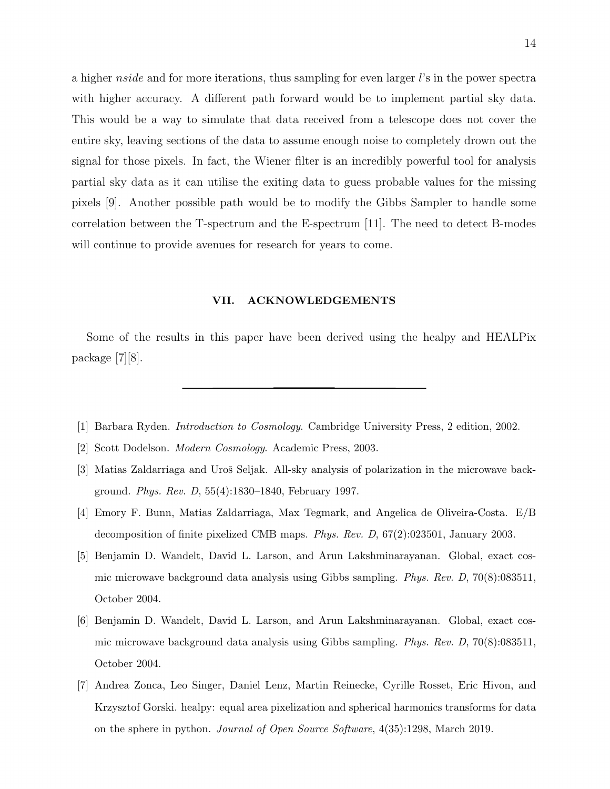a higher *nside* and for more iterations, thus sampling for even larger  $\ell$ 's in the power spectra with higher accuracy. A different path forward would be to implement partial sky data. This would be a way to simulate that data received from a telescope does not cover the entire sky, leaving sections of the data to assume enough noise to completely drown out the signal for those pixels. In fact, the Wiener filter is an incredibly powerful tool for analysis partial sky data as it can utilise the exiting data to guess probable values for the missing pixels [9]. Another possible path would be to modify the Gibbs Sampler to handle some correlation between the T-spectrum and the E-spectrum [11]. The need to detect B-modes will continue to provide avenues for research for years to come.

# VII. ACKNOWLEDGEMENTS

Some of the results in this paper have been derived using the healpy and HEALPix package [7][8].

- [1] Barbara Ryden. Introduction to Cosmology. Cambridge University Press, 2 edition, 2002.
- [2] Scott Dodelson. Modern Cosmology. Academic Press, 2003.
- [3] Matias Zaldarriaga and Uroš Seljak. All-sky analysis of polarization in the microwave background. Phys. Rev. D, 55(4):1830–1840, February 1997.
- [4] Emory F. Bunn, Matias Zaldarriaga, Max Tegmark, and Angelica de Oliveira-Costa. E/B decomposition of finite pixelized CMB maps. Phys. Rev. D, 67(2):023501, January 2003.
- [5] Benjamin D. Wandelt, David L. Larson, and Arun Lakshminarayanan. Global, exact cosmic microwave background data analysis using Gibbs sampling. Phys. Rev. D, 70(8):083511, October 2004.
- [6] Benjamin D. Wandelt, David L. Larson, and Arun Lakshminarayanan. Global, exact cosmic microwave background data analysis using Gibbs sampling. Phys. Rev. D, 70(8):083511, October 2004.
- [7] Andrea Zonca, Leo Singer, Daniel Lenz, Martin Reinecke, Cyrille Rosset, Eric Hivon, and Krzysztof Gorski. healpy: equal area pixelization and spherical harmonics transforms for data on the sphere in python. Journal of Open Source Software, 4(35):1298, March 2019.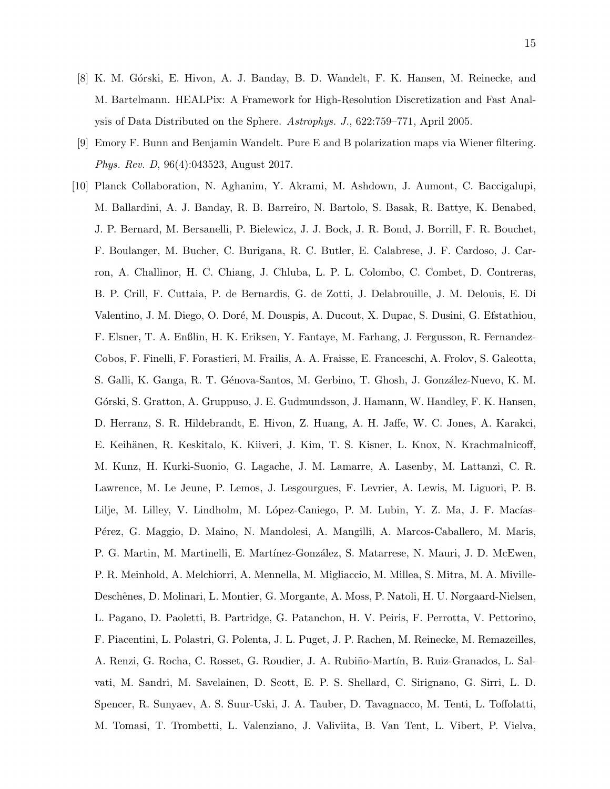- [8] K. M. Górski, E. Hivon, A. J. Banday, B. D. Wandelt, F. K. Hansen, M. Reinecke, and M. Bartelmann. HEALPix: A Framework for High-Resolution Discretization and Fast Analysis of Data Distributed on the Sphere. Astrophys. J., 622:759–771, April 2005.
- [9] Emory F. Bunn and Benjamin Wandelt. Pure E and B polarization maps via Wiener filtering. Phys. Rev. D, 96(4):043523, August 2017.
- [10] Planck Collaboration, N. Aghanim, Y. Akrami, M. Ashdown, J. Aumont, C. Baccigalupi, M. Ballardini, A. J. Banday, R. B. Barreiro, N. Bartolo, S. Basak, R. Battye, K. Benabed, J. P. Bernard, M. Bersanelli, P. Bielewicz, J. J. Bock, J. R. Bond, J. Borrill, F. R. Bouchet, F. Boulanger, M. Bucher, C. Burigana, R. C. Butler, E. Calabrese, J. F. Cardoso, J. Carron, A. Challinor, H. C. Chiang, J. Chluba, L. P. L. Colombo, C. Combet, D. Contreras, B. P. Crill, F. Cuttaia, P. de Bernardis, G. de Zotti, J. Delabrouille, J. M. Delouis, E. Di Valentino, J. M. Diego, O. Doré, M. Douspis, A. Ducout, X. Dupac, S. Dusini, G. Efstathiou, F. Elsner, T. A. Enßlin, H. K. Eriksen, Y. Fantaye, M. Farhang, J. Fergusson, R. Fernandez-Cobos, F. Finelli, F. Forastieri, M. Frailis, A. A. Fraisse, E. Franceschi, A. Frolov, S. Galeotta, S. Galli, K. Ganga, R. T. Génova-Santos, M. Gerbino, T. Ghosh, J. González-Nuevo, K. M. G´orski, S. Gratton, A. Gruppuso, J. E. Gudmundsson, J. Hamann, W. Handley, F. K. Hansen, D. Herranz, S. R. Hildebrandt, E. Hivon, Z. Huang, A. H. Jaffe, W. C. Jones, A. Karakci, E. Keihänen, R. Keskitalo, K. Kiiveri, J. Kim, T. S. Kisner, L. Knox, N. Krachmalnicoff, M. Kunz, H. Kurki-Suonio, G. Lagache, J. M. Lamarre, A. Lasenby, M. Lattanzi, C. R. Lawrence, M. Le Jeune, P. Lemos, J. Lesgourgues, F. Levrier, A. Lewis, M. Liguori, P. B. Lilje, M. Lilley, V. Lindholm, M. López-Caniego, P. M. Lubin, Y. Z. Ma, J. F. Macías-P´erez, G. Maggio, D. Maino, N. Mandolesi, A. Mangilli, A. Marcos-Caballero, M. Maris, P. G. Martin, M. Martinelli, E. Martínez-González, S. Matarrese, N. Mauri, J. D. McEwen, P. R. Meinhold, A. Melchiorri, A. Mennella, M. Migliaccio, M. Millea, S. Mitra, M. A. Miville-Deschênes, D. Molinari, L. Montier, G. Morgante, A. Moss, P. Natoli, H. U. Nørgaard-Nielsen, L. Pagano, D. Paoletti, B. Partridge, G. Patanchon, H. V. Peiris, F. Perrotta, V. Pettorino, F. Piacentini, L. Polastri, G. Polenta, J. L. Puget, J. P. Rachen, M. Reinecke, M. Remazeilles, A. Renzi, G. Rocha, C. Rosset, G. Roudier, J. A. Rubiño-Martín, B. Ruiz-Granados, L. Salvati, M. Sandri, M. Savelainen, D. Scott, E. P. S. Shellard, C. Sirignano, G. Sirri, L. D. Spencer, R. Sunyaev, A. S. Suur-Uski, J. A. Tauber, D. Tavagnacco, M. Tenti, L. Toffolatti, M. Tomasi, T. Trombetti, L. Valenziano, J. Valiviita, B. Van Tent, L. Vibert, P. Vielva,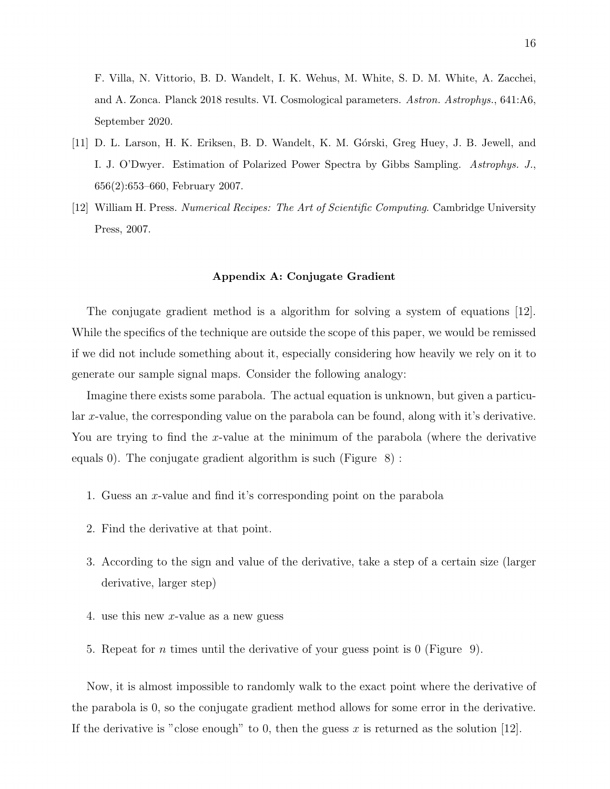F. Villa, N. Vittorio, B. D. Wandelt, I. K. Wehus, M. White, S. D. M. White, A. Zacchei, and A. Zonca. Planck 2018 results. VI. Cosmological parameters. Astron. Astrophys., 641:A6, September 2020.

- [11] D. L. Larson, H. K. Eriksen, B. D. Wandelt, K. M. Górski, Greg Huey, J. B. Jewell, and I. J. O'Dwyer. Estimation of Polarized Power Spectra by Gibbs Sampling. Astrophys. J., 656(2):653–660, February 2007.
- [12] William H. Press. Numerical Recipes: The Art of Scientific Computing. Cambridge University Press, 2007.

### Appendix A: Conjugate Gradient

The conjugate gradient method is a algorithm for solving a system of equations [12]. While the specifics of the technique are outside the scope of this paper, we would be remissed if we did not include something about it, especially considering how heavily we rely on it to generate our sample signal maps. Consider the following analogy:

Imagine there exists some parabola. The actual equation is unknown, but given a particular x-value, the corresponding value on the parabola can be found, along with it's derivative. You are trying to find the x-value at the minimum of the parabola (where the derivative equals 0). The conjugate gradient algorithm is such (Figure 8) :

- 1. Guess an x-value and find it's corresponding point on the parabola
- 2. Find the derivative at that point.
- 3. According to the sign and value of the derivative, take a step of a certain size (larger derivative, larger step)
- 4. use this new x-value as a new guess
- 5. Repeat for *n* times until the derivative of your guess point is 0 (Figure 9).

Now, it is almost impossible to randomly walk to the exact point where the derivative of the parabola is 0, so the conjugate gradient method allows for some error in the derivative. If the derivative is "close enough" to 0, then the guess x is returned as the solution  $[12]$ .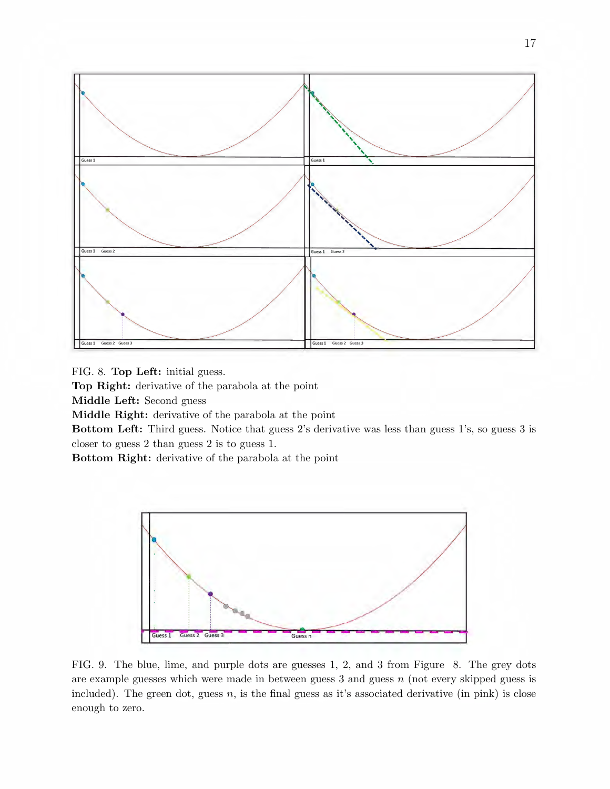

FIG. 8. Top Left: initial guess.

Top Right: derivative of the parabola at the point

Middle Left: Second guess

Middle Right: derivative of the parabola at the point

Bottom Left: Third guess. Notice that guess 2's derivative was less than guess 1's, so guess 3 is closer to guess 2 than guess 2 is to guess 1.

Bottom Right: derivative of the parabola at the point



FIG. 9. The blue, lime, and purple dots are guesses 1, 2, and 3 from Figure 8. The grey dots are example guesses which were made in between guess  $3$  and guess  $n$  (not every skipped guess is included). The green dot, guess  $n$ , is the final guess as it's associated derivative (in pink) is close enough to zero.